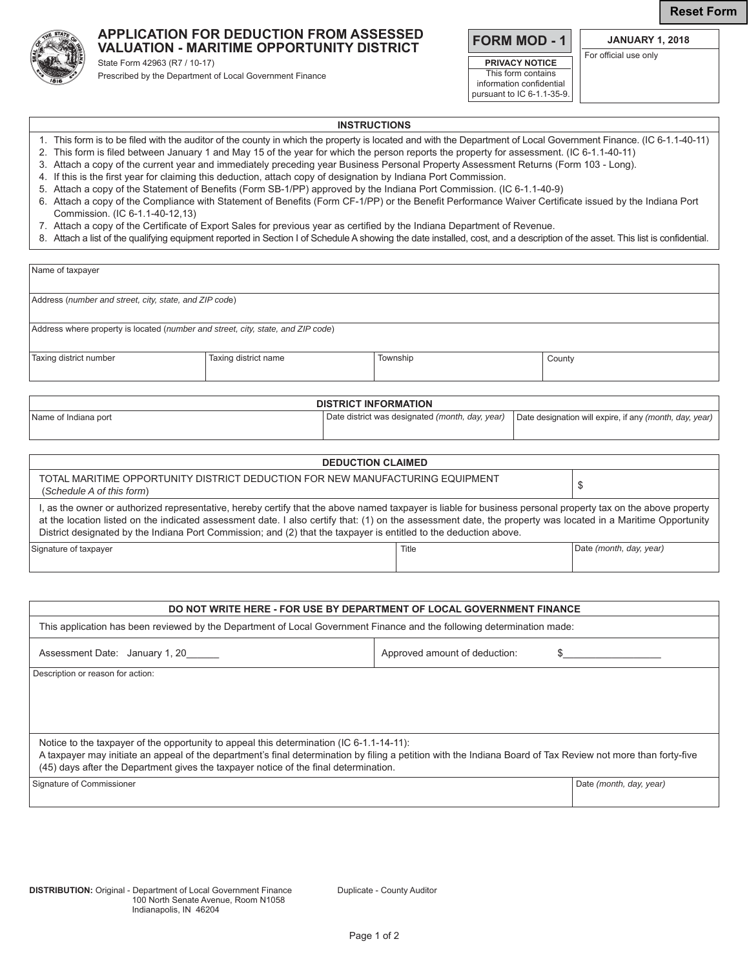**Reset Form**

## **APPLICATION FOR DEDUCTION FROM ASSESSED VALUATION - MARITIME OPPORTUNITY DISTRICT**

State Form 42963 (R7 / 10-17) Prescribed by the Department of Local Government Finance **FORM MOD - 1**

**PRIVACY NOTICE** This form contains information confidential pursuant to IC 6-1.1-35-9.

**JANUARY 1, 2018** For official use only

## **INSTRUCTIONS**

- 1. This form is to be filed with the auditor of the county in which the property is located and with the Department of Local Government Finance. (IC 6-1.1-40-11)
- 2. This form is filed between January 1 and May 15 of the year for which the person reports the property for assessment. (IC 6-1.1-40-11)
- 3. Attach a copy of the current year and immediately preceding year Business Personal Property Assessment Returns (Form 103 Long).
- 4. If this is the first year for claiming this deduction, attach copy of designation by Indiana Port Commission.
- 5. Attach a copy of the Statement of Benefits (Form SB-1/PP) approved by the Indiana Port Commission. (IC 6-1.1-40-9)
- 6. Attach a copy of the Compliance with Statement of Benefits (Form CF-1/PP) or the Benefit Performance Waiver Certificate issued by the Indiana Port Commission. (IC 6-1.1-40-12,13)
- 7. Attach a copy of the Certificate of Export Sales for previous year as certified by the Indiana Department of Revenue.
- 8. Attach a list of the qualifying equipment reported in Section I of Schedule A showing the date installed, cost, and a description of the asset. This list is confidential.

| Name of taxpayer                                                                                                                                                                                                                                                                                                                                                                                                                                   |                      |                                                 |                    |                                                         |                         |  |
|----------------------------------------------------------------------------------------------------------------------------------------------------------------------------------------------------------------------------------------------------------------------------------------------------------------------------------------------------------------------------------------------------------------------------------------------------|----------------------|-------------------------------------------------|--------------------|---------------------------------------------------------|-------------------------|--|
| Address (number and street, city, state, and ZIP code)                                                                                                                                                                                                                                                                                                                                                                                             |                      |                                                 |                    |                                                         |                         |  |
| Address where property is located (number and street, city, state, and ZIP code)                                                                                                                                                                                                                                                                                                                                                                   |                      |                                                 |                    |                                                         |                         |  |
| Taxing district number                                                                                                                                                                                                                                                                                                                                                                                                                             | Taxing district name |                                                 | Township<br>County |                                                         |                         |  |
| <b>DISTRICT INFORMATION</b>                                                                                                                                                                                                                                                                                                                                                                                                                        |                      |                                                 |                    |                                                         |                         |  |
| Name of Indiana port                                                                                                                                                                                                                                                                                                                                                                                                                               |                      | Date district was designated (month, day, year) |                    | Date designation will expire, if any (month, day, year) |                         |  |
| <b>DEDUCTION CLAIMED</b>                                                                                                                                                                                                                                                                                                                                                                                                                           |                      |                                                 |                    |                                                         |                         |  |
| TOTAL MARITIME OPPORTUNITY DISTRICT DEDUCTION FOR NEW MANUFACTURING EQUIPMENT<br>\$<br>(Schedule A of this form)                                                                                                                                                                                                                                                                                                                                   |                      |                                                 |                    |                                                         |                         |  |
| I, as the owner or authorized representative, hereby certify that the above named taxpayer is liable for business personal property tax on the above property<br>at the location listed on the indicated assessment date. I also certify that: (1) on the assessment date, the property was located in a Maritime Opportunity<br>District designated by the Indiana Port Commission; and (2) that the taxpayer is entitled to the deduction above. |                      |                                                 |                    |                                                         |                         |  |
| Signature of taxpayer                                                                                                                                                                                                                                                                                                                                                                                                                              |                      |                                                 | Title              |                                                         | Date (month, day, year) |  |

| DO NOT WRITE HERE - FOR USE BY DEPARTMENT OF LOCAL GOVERNMENT FINANCE                                                                                                                                                                                |                               |                         |  |  |  |
|------------------------------------------------------------------------------------------------------------------------------------------------------------------------------------------------------------------------------------------------------|-------------------------------|-------------------------|--|--|--|
| This application has been reviewed by the Department of Local Government Finance and the following determination made:                                                                                                                               |                               |                         |  |  |  |
| Assessment Date: January 1, 20                                                                                                                                                                                                                       | Approved amount of deduction: |                         |  |  |  |
| Description or reason for action:                                                                                                                                                                                                                    |                               |                         |  |  |  |
|                                                                                                                                                                                                                                                      |                               |                         |  |  |  |
|                                                                                                                                                                                                                                                      |                               |                         |  |  |  |
|                                                                                                                                                                                                                                                      |                               |                         |  |  |  |
| Notice to the taxpayer of the opportunity to appeal this determination (IC 6-1.1-14-11):                                                                                                                                                             |                               |                         |  |  |  |
| A taxpayer may initiate an appeal of the department's final determination by filing a petition with the Indiana Board of Tax Review not more than forty-five<br>(45) days after the Department gives the taxpayer notice of the final determination. |                               |                         |  |  |  |
| Signature of Commissioner                                                                                                                                                                                                                            |                               | Date (month, day, year) |  |  |  |
|                                                                                                                                                                                                                                                      |                               |                         |  |  |  |
|                                                                                                                                                                                                                                                      |                               |                         |  |  |  |